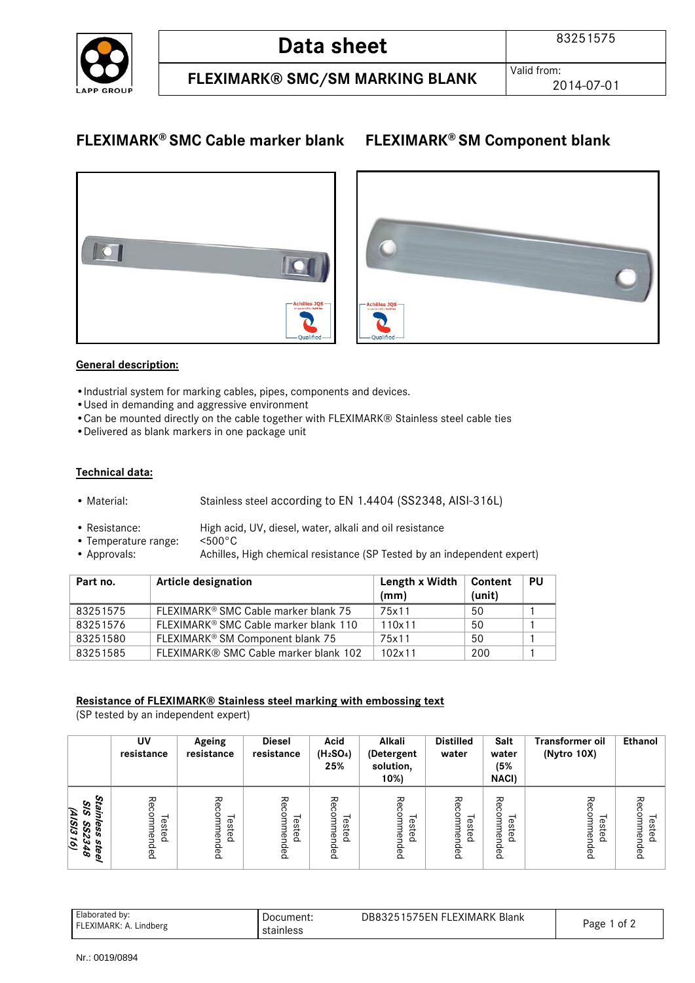

## **FLEXIMARK® SMC Cable marker blank FLEXIMARK® SM Component blank**



#### **General description:**

- •Industrial system for marking cables, pipes, components and devices.
- •Used in demanding and aggressive environment
- •Can be mounted directly on the cable together with FLEXIMARK® Stainless steel cable ties
- •Delivered as blank markers in one package unit

#### **Technical data:**

- Material: Stainless steel according to EN 1.4404 (SS2348, AISI-316L)
- Resistance: High acid, UV, diesel, water, alkali and oil resistance
- Temperature range: <500°C
- Approvals: Achilles, High chemical resistance (SP Tested by an independent expert)

| Part no. | <b>Article designation</b>                       | Length x Width<br>(mm) | ∣ Content<br>(unit) | <b>PU</b> |
|----------|--------------------------------------------------|------------------------|---------------------|-----------|
| 83251575 | FLEXIMARK <sup>®</sup> SMC Cable marker blank 75 | 75x11                  | 50                  |           |
| 83251576 | FLEXIMARK® SMC Cable marker blank 110            | 110x11                 | 50                  |           |
| 83251580 | FLEXIMARK® SM Component blank 75                 | 75x11                  | 50                  |           |
| 83251585 | FLEXIMARK® SMC Cable marker blank 102            | 102x11                 | 200                 |           |

#### **Resistance of FLEXIMARK® Stainless steel marking with embossing text**

(SP tested by an independent expert)

|                                                                                              | UV<br>resistance          | Ageing<br>resistance      | <b>Diesel</b><br>resistance                           | Acid<br>(H <sub>2</sub> SO <sub>4</sub> )<br>25% | Alkali<br>(Detergent<br>solution,<br>$10\%$ | <b>Distilled</b><br>water  | Salt<br>water<br>(5%<br><b>NACI)</b> | <b>Transformer oil</b><br>(Nytro 10X) | Ethanol                         |
|----------------------------------------------------------------------------------------------|---------------------------|---------------------------|-------------------------------------------------------|--------------------------------------------------|---------------------------------------------|----------------------------|--------------------------------------|---------------------------------------|---------------------------------|
| Stainl<br>ত<br>(9181316)<br>ର<br>less<br><b>SS2</b><br><b>Ste</b><br>ω<br>$\mathscr{E}$<br>T | Rec<br>Tested<br>Ξ<br>ded | Recomi<br>Tested<br>ended | ゐ<br>$\frac{c}{\Box}$<br>ested<br>з<br>ΘU<br>۰<br>Baj | Ρç<br>Tested<br>ወ<br>Baj                         | ٩<br>commen<br>Tested<br>ded                | چ<br>å<br>Tested<br>mended | ΡĞ<br>ດ<br>omme<br>ested<br>₿<br>aed | 공<br>ommen<br>Tested<br>Ba            | る<br>com<br>Tested<br>ΘĽ<br>ded |